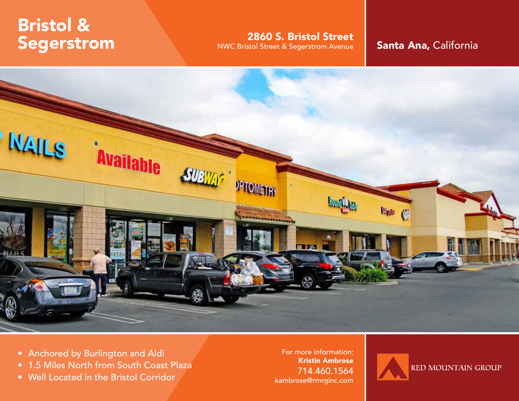# Bristol & Segerstrom

2860 S. Bristol Street

NWC Bristol Street & Segerstrom Avenue Santa Ana, California



- Anchored by Burlington and Aldi
- 1.5 Miles North from South Coast Plaza
- Well Located in the Bristol Corridor

For more information: Kristin Ambrose 714.460.1564 kambrose@rmrginc.com

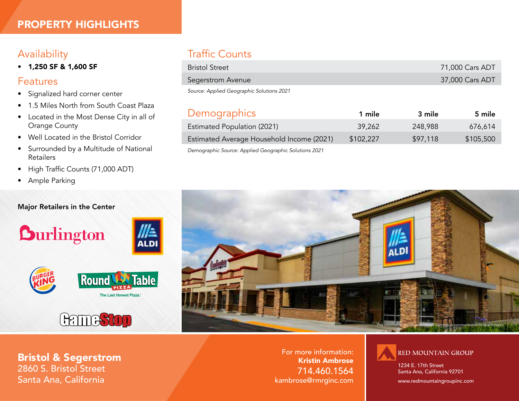## Availability

• 1,250 SF & 1,600 SF

### Features

- Signalized hard corner center
- 1.5 Miles North from South Coast Plaza
- Located in the Most Dense City in all of Orange County
- Well Located in the Bristol Corridor
- Surrounded by a Multitude of National Retailers
- High Traffic Counts (71,000 ADT)
- Ample Parking

#### Major Retailers in the Center









## Traffic Counts

| <b>Bristol Street</b>                     | 71,000 Cars ADT |
|-------------------------------------------|-----------------|
| Segerstrom Avenue                         | 37,000 Cars ADT |
| Source: Applied Geographic Solutions 2021 |                 |

Demographics 1 mile 3 mile 5 mile

| <b>Demographies</b>                                   | - ייייב   | J IIIIIE | J IIIIE   |
|-------------------------------------------------------|-----------|----------|-----------|
| <b>Estimated Population (2021)</b>                    | 39,262    | 248,988  | 676.614   |
| Estimated Average Household Income (2021)             | \$102,227 | \$97,118 | \$105,500 |
| Demographic Source: Applied Geographic Solutions 2021 |           |          |           |



For more information: Kristin Ambrose 714.460.1564 kambrose@rmrginc.com



1234 E. 17th Street Santa Ana, California 92701

www.redmountaingroupinc.com

Bristol & Segerstrom 2860 S. Bristol Street Santa Ana, California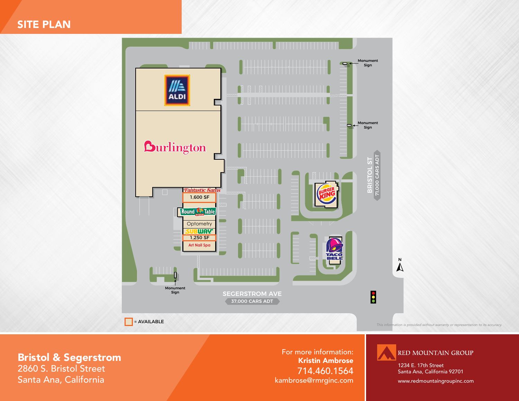SITE PLAN



Bristol & Segerstrom 2860 S. Bristol Street Santa Ana, California

For more information: Kristin Ambrose 714.460.1564 kambrose@rmrginc.com **RED MOUNTAIN GROUP** 

1234 E. 17th Street Santa Ana, California 92701

www.redmountaingroupinc.com